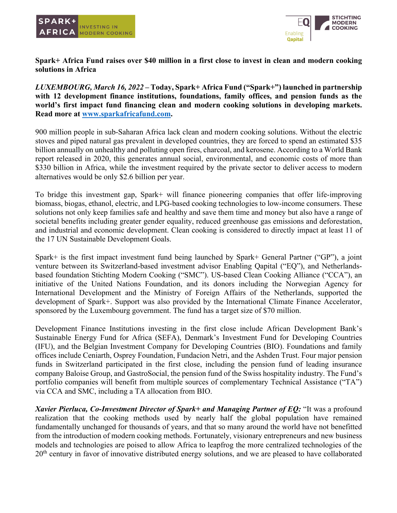



**Spark+ Africa Fund raises over \$40 million in a first close to invest in clean and modern cooking solutions in Africa**

*LUXEMBOURG, March 16, 2022 –* **Today, Spark+ Africa Fund ("Spark+") launched in partnership with 12 development finance institutions, foundations, family offices, and pension funds as the world's first impact fund financing clean and modern cooking solutions in developing markets. Read more at www.sparkafricafund.com.**

900 million people in sub-Saharan Africa lack clean and modern cooking solutions. Without the electric stoves and piped natural gas prevalent in developed countries, they are forced to spend an estimated \$35 billion annually on unhealthy and polluting open fires, charcoal, and kerosene. According to a World Bank report released in 2020, this generates annual social, environmental, and economic costs of more than \$330 billion in Africa, while the investment required by the private sector to deliver access to modern alternatives would be only \$2.6 billion per year.

To bridge this investment gap, Spark+ will finance pioneering companies that offer life-improving biomass, biogas, ethanol, electric, and LPG-based cooking technologies to low-income consumers. These solutions not only keep families safe and healthy and save them time and money but also have a range of societal benefits including greater gender equality, reduced greenhouse gas emissions and deforestation, and industrial and economic development. Clean cooking is considered to directly impact at least 11 of the 17 UN Sustainable Development Goals.

Spark+ is the first impact investment fund being launched by Spark+ General Partner ("GP"), a joint venture between its Switzerland-based investment advisor Enabling Qapital ("EQ"), and Netherlandsbased foundation Stichting Modern Cooking ("SMC"). US-based Clean Cooking Alliance ("CCA"), an initiative of the United Nations Foundation, and its donors including the Norwegian Agency for International Development and the Ministry of Foreign Affairs of the Netherlands, supported the development of Spark+. Support was also provided by the International Climate Finance Accelerator, sponsored by the Luxembourg government. The fund has a target size of \$70 million.

Development Finance Institutions investing in the first close include African Development Bank's Sustainable Energy Fund for Africa (SEFA), Denmark's Investment Fund for Developing Countries (IFU), and the Belgian Investment Company for Developing Countries (BIO). Foundations and family offices include Ceniarth, Osprey Foundation, Fundacion Netri, and the Ashden Trust. Four major pension funds in Switzerland participated in the first close, including the pension fund of leading insurance company Baloise Group, and GastroSocial, the pension fund of the Swiss hospitality industry. The Fund's portfolio companies will benefit from multiple sources of complementary Technical Assistance ("TA") via CCA and SMC, including a TA allocation from BIO.

*Xavier Pierluca, Co-Investment Director of Spark+ and Managing Partner of EQ:* "It was a profound realization that the cooking methods used by nearly half the global population have remained fundamentally unchanged for thousands of years, and that so many around the world have not benefitted from the introduction of modern cooking methods. Fortunately, visionary entrepreneurs and new business models and technologies are poised to allow Africa to leapfrog the more centralized technologies of the 20<sup>th</sup> century in favor of innovative distributed energy solutions, and we are pleased to have collaborated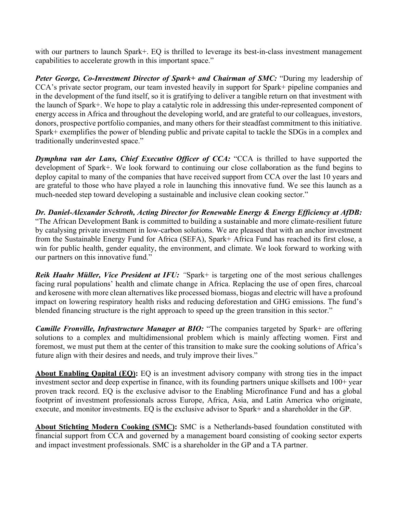with our partners to launch Spark+. EQ is thrilled to leverage its best-in-class investment management capabilities to accelerate growth in this important space."

*Peter George, Co-Investment Director of Spark+ and Chairman of SMC:* "During my leadership of CCA's private sector program, our team invested heavily in support for Spark+ pipeline companies and in the development of the fund itself, so it is gratifying to deliver a tangible return on that investment with the launch of Spark+. We hope to play a catalytic role in addressing this under-represented component of energy access in Africa and throughout the developing world, and are grateful to our colleagues, investors, donors, prospective portfolio companies, and many others for their steadfast commitment to this initiative. Spark+ exemplifies the power of blending public and private capital to tackle the SDGs in a complex and traditionally underinvested space."

**Dymphna van der Lans, Chief Executive Officer of CCA:** "CCA is thrilled to have supported the development of Spark+. We look forward to continuing our close collaboration as the fund begins to deploy capital to many of the companies that have received support from CCA over the last 10 years and are grateful to those who have played a role in launching this innovative fund. We see this launch as a much-needed step toward developing a sustainable and inclusive clean cooking sector."

*Dr. Daniel-Alexander Schroth, Acting Director for Renewable Energy & Energy Efficiency at AfDB:* "The African Development Bank is committed to building a sustainable and more climate-resilient future by catalysing private investment in low-carbon solutions. We are pleased that with an anchor investment from the Sustainable Energy Fund for Africa (SEFA), Spark+ Africa Fund has reached its first close, a win for public health, gender equality, the environment, and climate. We look forward to working with our partners on this innovative fund."

*Reik Haahr Müller, Vice President at IFU: "*Spark+ is targeting one of the most serious challenges facing rural populations' health and climate change in Africa. Replacing the use of open fires, charcoal and kerosene with more clean alternatives like processed biomass, biogas and electric will have a profound impact on lowering respiratory health risks and reducing deforestation and GHG emissions. The fund's blended financing structure is the right approach to speed up the green transition in this sector."

*Camille Fronville, Infrastructure Manager at BIO:* "The companies targeted by Spark+ are offering solutions to a complex and multidimensional problem which is mainly affecting women. First and foremost, we must put them at the center of this transition to make sure the cooking solutions of Africa's future align with their desires and needs, and truly improve their lives."

**About Enabling Qapital (EQ):** EQ is an investment advisory company with strong ties in the impact investment sector and deep expertise in finance, with its founding partners unique skillsets and 100+ year proven track record. EQ is the exclusive advisor to the Enabling Microfinance Fund and has a global footprint of investment professionals across Europe, Africa, Asia, and Latin America who originate, execute, and monitor investments. EQ is the exclusive advisor to Spark+ and a shareholder in the GP.

**About Stichting Modern Cooking (SMC):** SMC is a Netherlands-based foundation constituted with financial support from CCA and governed by a management board consisting of cooking sector experts and impact investment professionals. SMC is a shareholder in the GP and a TA partner.